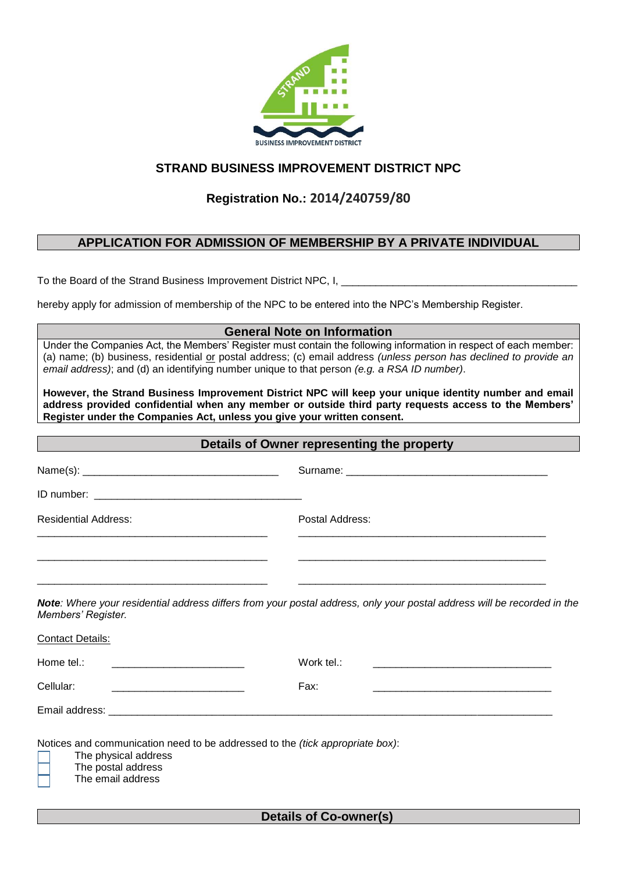

## **STRAND BUSINESS IMPROVEMENT DISTRICT NPC**

# **Registration No.: 2014/240759/80**

### **APPLICATION FOR ADMISSION OF MEMBERSHIP BY A PRIVATE INDIVIDUAL**

To the Board of the Strand Business Improvement District NPC, I,

hereby apply for admission of membership of the NPC to be entered into the NPC's Membership Register.

#### **General Note on Information**

Under the Companies Act, the Members' Register must contain the following information in respect of each member: (a) name; (b) business, residential or postal address; (c) email address *(unless person has declined to provide an email address)*; and (d) an identifying number unique to that person *(e.g. a RSA ID number)*.

**However, the Strand Business Improvement District NPC will keep your unique identity number and email address provided confidential when any member or outside third party requests access to the Members' Register under the Companies Act, unless you give your written consent.**

| Details of Owner representing the property                                                                                                       |                                                                                                                                                                                                                                                                                                                                                          |  |
|--------------------------------------------------------------------------------------------------------------------------------------------------|----------------------------------------------------------------------------------------------------------------------------------------------------------------------------------------------------------------------------------------------------------------------------------------------------------------------------------------------------------|--|
|                                                                                                                                                  |                                                                                                                                                                                                                                                                                                                                                          |  |
|                                                                                                                                                  |                                                                                                                                                                                                                                                                                                                                                          |  |
| <b>Residential Address:</b>                                                                                                                      | Postal Address:                                                                                                                                                                                                                                                                                                                                          |  |
| Members' Register.                                                                                                                               | the control of the control of the control of the control of the control of the control of the control of the control of the control of the control of the control of the control of the control of the control of the control<br>Note: Where your residential address differs from your postal address, only your postal address will be recorded in the |  |
| <b>Contact Details:</b>                                                                                                                          |                                                                                                                                                                                                                                                                                                                                                          |  |
| Home tel.:                                                                                                                                       | Work tel.:                                                                                                                                                                                                                                                                                                                                               |  |
| Cellular:                                                                                                                                        | Fax:                                                                                                                                                                                                                                                                                                                                                     |  |
|                                                                                                                                                  |                                                                                                                                                                                                                                                                                                                                                          |  |
| Notices and communication need to be addressed to the (tick appropriate box):<br>The physical address<br>The postal address<br>The email address |                                                                                                                                                                                                                                                                                                                                                          |  |

**Details of Co-owner(s)**